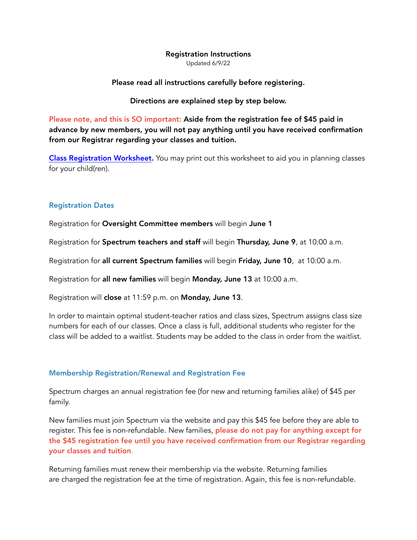## Registration Instructions

Updated 6/9/22

#### Please read all instructions carefully before registering.

#### Directions are explained step by step below.

Please note, and this is SO important: Aside from the registration fee of \$45 paid in advance by new members, you will not pay anything until you have received confirmation from our Registrar regarding your classes and tuition.

[Class Registration Worksheet.](https://www.spectrumchc.com/MD/Spectrum/registration%20worksheet%2022_23(1).pdf) You may print out this worksheet to aid you in planning classes for your child(ren).

#### Registration Dates

Registration for Oversight Committee members will begin June 1

Registration for Spectrum teachers and staff will begin Thursday, June 9, at 10:00 a.m.

Registration for all current Spectrum families will begin Friday, June 10, at 10:00 a.m.

Registration for all new families will begin Monday, June 13 at 10:00 a.m.

Registration will close at 11:59 p.m. on Monday, June 13.

In order to maintain optimal student-teacher ratios and class sizes, Spectrum assigns class size numbers for each of our classes. Once a class is full, additional students who register for the class will be added to a waitlist. Students may be added to the class in order from the waitlist.

## Membership Registration/Renewal and Registration Fee

Spectrum charges an annual registration fee (for new and returning families alike) of \$45 per family.

New families must join Spectrum via the website and pay this \$45 fee before they are able to register. This fee is non-refundable. New families, please do not pay for anything except for the \$45 registration fee until you have received confirmation from our Registrar regarding your classes and tuition.

Returning families must renew their membership via the website. Returning families are charged the registration fee at the time of registration. Again, this fee is non-refundable.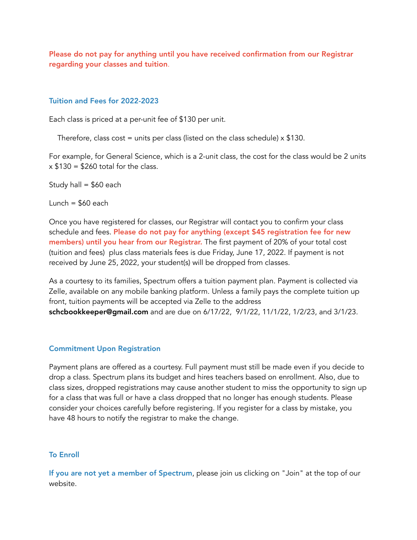Please do not pay for anything until you have received confirmation from our Registrar regarding your classes and tuition.

## Tuition and Fees for 2022-2023

Each class is priced at a per-unit fee of \$130 per unit.

Therefore, class cost = units per class (listed on the class schedule)  $\times$  \$130.

For example, for General Science, which is a 2-unit class, the cost for the class would be 2 units  $x$  \$130 = \$260 total for the class.

Study hall =  $$60$  each

Lunch  $=$  \$60 each

Once you have registered for classes, our Registrar will contact you to confirm your class schedule and fees. Please do not pay for anything (except \$45 registration fee for new members) until you hear from our Registrar. The first payment of 20% of your total cost (tuition and fees) plus class materials fees is due Friday, June 17, 2022. If payment is not received by June 25, 2022, your student(s) will be dropped from classes.

As a courtesy to its families, Spectrum offers a tuition payment plan. Payment is collected via Zelle, available on any mobile banking platform. Unless a family pays the complete tuition up front, tuition payments will be accepted via Zelle to the address schcbookkeeper@gmail.com and are due on 6/17/22, 9/1/22, 11/1/22, 1/2/23, and 3/1/23.

# Commitment Upon Registration

Payment plans are offered as a courtesy. Full payment must still be made even if you decide to drop a class. Spectrum plans its budget and hires teachers based on enrollment. Also, due to class sizes, dropped registrations may cause another student to miss the opportunity to sign up for a class that was full or have a class dropped that no longer has enough students. Please consider your choices carefully before registering. If you register for a class by mistake, you have 48 hours to notify the registrar to make the change.

# To Enroll

If you are not yet a member of Spectrum, please join us clicking on "Join" at the top of our website.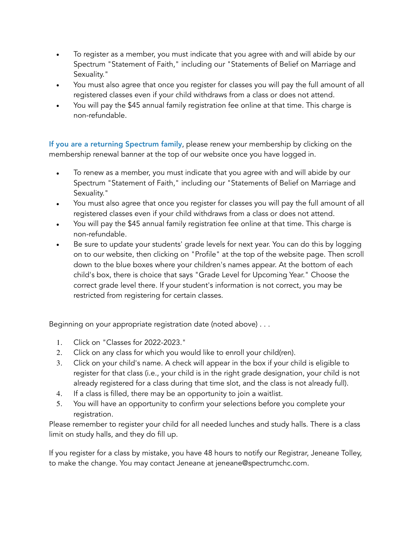- To register as a member, you must indicate that you agree with and will abide by our Spectrum "Statement of Faith," including our "Statements of Belief on Marriage and Sexuality."
- You must also agree that once you register for classes you will pay the full amount of all registered classes even if your child withdraws from a class or does not attend.
- You will pay the \$45 annual family registration fee online at that time. This charge is non-refundable.

If you are a returning Spectrum family, please renew your membership by clicking on the membership renewal banner at the top of our website once you have logged in.

- To renew as a member, you must indicate that you agree with and will abide by our Spectrum "Statement of Faith," including our "Statements of Belief on Marriage and Sexuality."
- You must also agree that once you register for classes you will pay the full amount of all registered classes even if your child withdraws from a class or does not attend.
- You will pay the \$45 annual family registration fee online at that time. This charge is non-refundable.
- Be sure to update your students' grade levels for next year. You can do this by logging on to our website, then clicking on "Profile" at the top of the website page. Then scroll down to the blue boxes where your children's names appear. At the bottom of each child's box, there is choice that says "Grade Level for Upcoming Year." Choose the correct grade level there. If your student's information is not correct, you may be restricted from registering for certain classes.

Beginning on your appropriate registration date (noted above) . . .

- 1. Click on "Classes for 2022-2023."
- 2. Click on any class for which you would like to enroll your child(ren).
- 3. Click on your child's name. A check will appear in the box if your child is eligible to register for that class (i.e., your child is in the right grade designation, your child is not already registered for a class during that time slot, and the class is not already full).
- 4. If a class is filled, there may be an opportunity to join a waitlist.
- 5. You will have an opportunity to confirm your selections before you complete your registration.

Please remember to register your child for all needed lunches and study halls. There is a class limit on study halls, and they do fill up.

If you register for a class by mistake, you have 48 hours to notify our Registrar, Jeneane Tolley, to make the change. You may contact Jeneane at jeneane@spectrumchc.com.